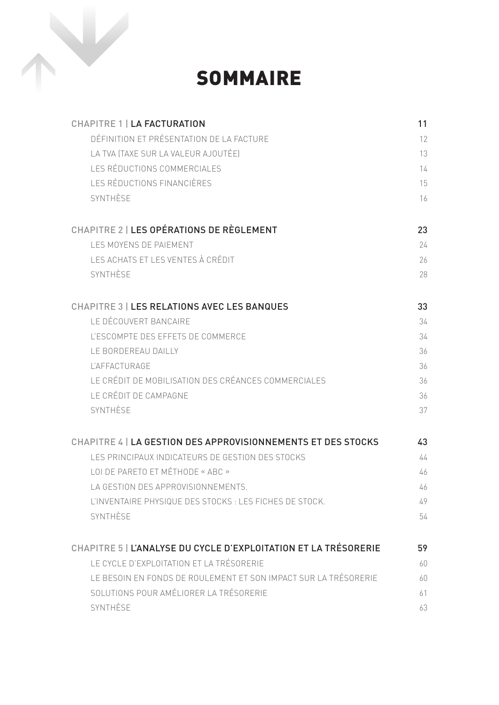

SOMMAIRE

| <b>CHAPITRE 1   LA FACTURATION</b>                              | 11 |
|-----------------------------------------------------------------|----|
| DÉFINITION ET PRÉSENTATION DE LA FACTURE                        | 12 |
| LA TVA (TAXE SUR LA VALEUR AJOUTÉE)                             | 13 |
| LES RÉDUCTIONS COMMERCIALES                                     | 14 |
| LES RÉDUCTIONS FINANCIÈRES                                      | 15 |
| SYNTHÈSE                                                        | 16 |
| CHAPITRE 2   LES OPÉRATIONS DE RÈGLEMENT                        | 23 |
| LES MOYENS DE PAIEMENT                                          | 24 |
| LES ACHATS ET LES VENTES À CRÉDIT                               | 26 |
| SYNTHÈSE                                                        | 28 |
| CHAPITRE 3   LES RELATIONS AVEC LES BANQUES                     | 33 |
| LE DÉCOUVERT BANCAIRE                                           | 34 |
| L'ESCOMPTE DES EFFETS DE COMMERCE                               | 34 |
| LE BORDEREAU DAILLY                                             | 36 |
| <b>L'AFFACTURAGE</b>                                            | 36 |
| LE CRÉDIT DE MOBILISATION DES CRÉANCES COMMERCIALES             | 36 |
| LE CRÉDIT DE CAMPAGNE                                           | 36 |
| SYNTHÈSE                                                        | 37 |
| CHAPITRE 4   LA GESTION DES APPROVISIONNEMENTS ET DES STOCKS    | 43 |
| LES PRINCIPAUX INDICATEURS DE GESTION DES STOCKS                | 44 |
| LOI DE PARETO ET MÉTHODE « ABC »                                | 46 |
| LA GESTION DES APPROVISIONNEMENTS.                              | 46 |
| L'INVENTAIRE PHYSIQUE DES STOCKS : LES FICHES DE STOCK.         | 49 |
| SYNTHÈSE                                                        | 54 |
| CHAPITRE 5   L'ANALYSE DU CYCLE D'EXPLOITATION ET LA TRÉSORERIE | 59 |
| LE CYCLE D'EXPLOITATION ET LA TRÉSORERIE                        | 60 |
| LE BESOIN EN FONDS DE ROULEMENT ET SON IMPACT SUR LA TRÉSORERIE | 60 |
| SOLUTIONS POUR AMÉLIORER LA TRÉSORERIE                          | 61 |
| SYNTHÈSE                                                        | 63 |